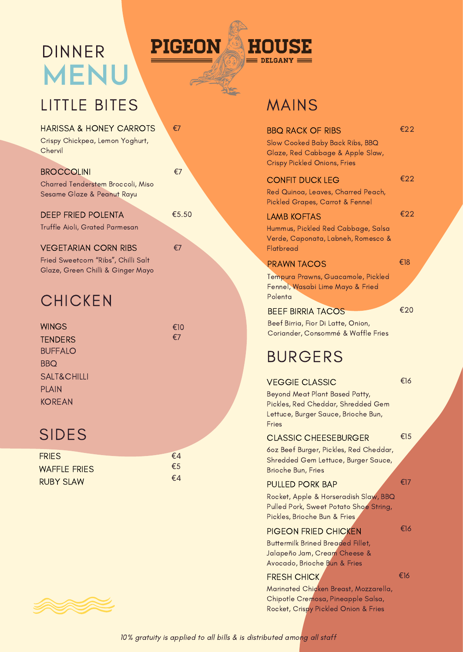# **MENU** DINNER



海

# LITTLE BITES MAINS

| €7<br>HARISSA & HONEY CARROTS |  |
|-------------------------------|--|
|-------------------------------|--|

Crispy Chickpea, Lemon Yoghurt, **Chervil** 

## **BROCCOLINI**

Charred Tenderstem Broccoli, Miso Sesame Glaze & Peanut Rayu

€7

€5.50

€7

DEEP FRIED POLENTA Truffle Aioli, Grated Parmesan

## VEGETARIAN CORN RIBS

Fried Sweetcorn "Ribs", Chilli Salt Glaze, Green Chilli & Ginger Mayo

# **CHICKEN**

| <b>WINGS</b>           | €10 |
|------------------------|-----|
| <b>TENDERS</b>         | €7  |
| <b>BUFFALO</b>         |     |
| <b>BBQ</b>             |     |
| <b>SALT&amp;CHILLI</b> |     |
| <b>PLAIN</b>           |     |
| <b>KOREAN</b>          |     |
|                        |     |

| <b>FRIES</b>        | €4            |
|---------------------|---------------|
| <b>WAFFLE FRIES</b> | $\epsilon$ .5 |
| <b>RUBY SLAW</b>    | €4            |

| <b>BBO RACK OF RIBS</b><br>Slow Cooked Baby Back Ribs, BBQ<br>Glaze, Red Cabbage & Apple Slaw,<br><b>Crispy Pickled Onions, Fries</b> | €22 |
|---------------------------------------------------------------------------------------------------------------------------------------|-----|
| <b>CONFIT DUCK LEG</b><br>Red Quinoa, Leaves, Charred Peach,<br>Pickled Grapes, Carrot & Fennel                                       | €22 |
| <b>LAMB KOFTAS</b><br>Hummus, Pickled Red Cabbage, Salsa<br>Verde, Caponata, Labneh, Romesco &<br>Flatbread                           | €22 |
| <b>PRAWN TACOS</b><br>Tempura Prawns, Guacamole, Pickled<br>Fennel, Wasabi Lime Mayo & Fried                                          | €18 |
| Polenta<br><b>BEEF BIRRIA TACOS</b><br>Beef Birria, Fior Di Latte, Onion,<br>Coriander, Consommé & Waffle Fries                       | €20 |
| <b>BURGERS</b>                                                                                                                        |     |
| <b>VEGGIE CLASSIC</b>                                                                                                                 | €16 |

### Beyond Meat Plant Based Patty, Pickles, Red Cheddar, Shredded Gem Lettuce, Burger Sauce, Brioche Bun, Fries

# SIDES <del>€15</del>

6oz Beef Burger, Pickles, Red Cheddar, Shredded Gem Lettuce, Burger Sauce, Brioche Bun, Fries

### PULLED PORK BAP

€17

€16

Rocket, Apple & Horseradish Slaw, BBQ Pulled Pork, Sweet Potato Shoe String, Pickles, Brioche Bun & Fries

### PIGEON FRIED CHICKEN

Buttermilk Brined Breaded Fillet, Jalapeño Jam, Cream Cheese & Avocado, Brioche Bun & Fries

### FRESH CHICK €16

Marinated Chicken Breast, Mozzarella, Chipotle Cremosa, Pineapple Salsa, Rocket, Crispy Pickled Onion & Fries